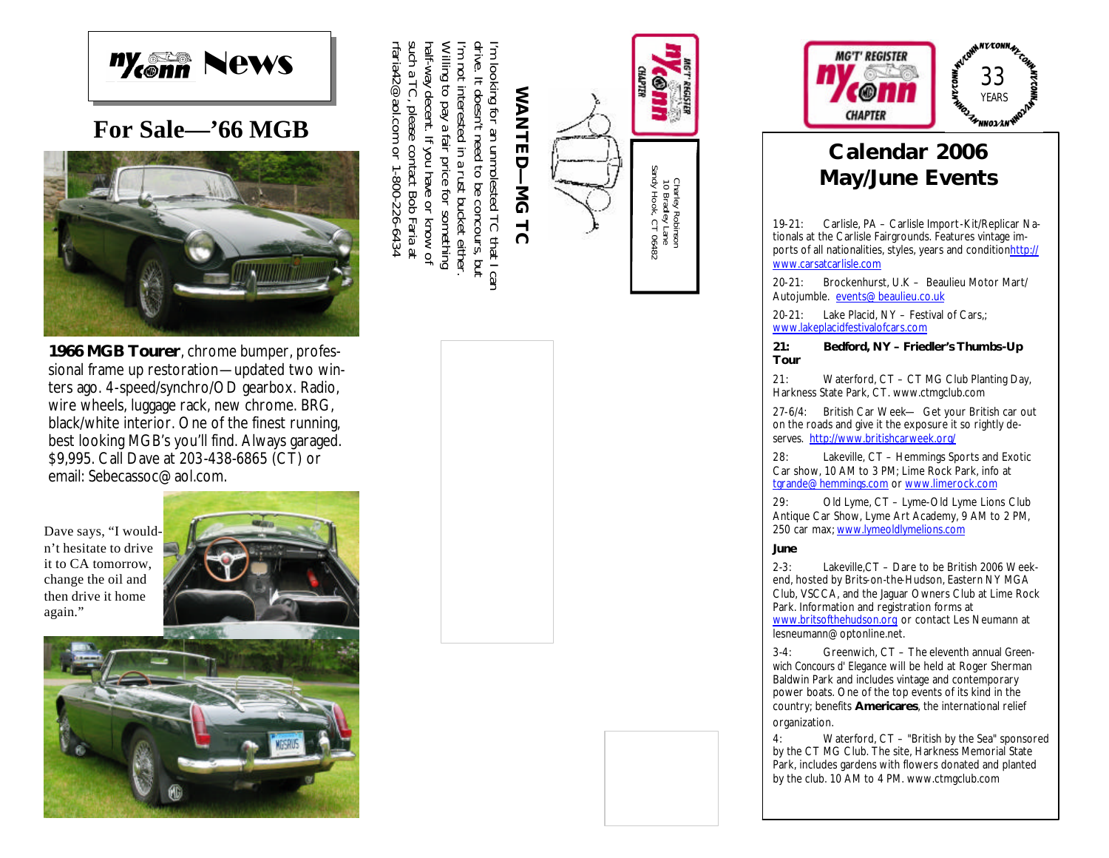

## **For Sale —'66 MGB**



**1966 MGB Tourer**, chrome bumper, professional frame up restoration—updated two winters ago. 4-speed/synchro/OD gearbox. Radio, wire wheels, luggage rack, new chrome. BRG, black/white interior. One of the finest running, best looking MGB's you'll find. Always garaged. \$9,995. Call Dave at 203 -438-6865 (CT) or email: Sebecassoc@aol.com.

Dave says, "I wouldn't hesitate to drive it to CA tomorrow, change the oil and then drive it home again."





I'm looking for an unmolested TC that I car<br>drive. It doesn't need to be concours, but<br>I'm not interested in a rust bucket either.<br>Willing to pay a fair price for something **WANTED—MG TC MANTED-**Charley Robinson<br>10 Bradley Lane<br>Sandy Hook, CT 06482 Sandy Hook, CT 06482  $\frac{1}{50}$ 10 Bradley Lane  $\overline{5}$ 

Charley Robinson

nalf-way decent. If you have or know of<br>such a TC, please contact Bob Faria at Willing to pay a fair price for something I'm not interested in a rust bucket either. drive. It doesn't need to be concours, but

such a TC, please contact Bob Faria at<br>rfaria42@aol.com or 1-800-226-6434

rfaria42@aol.com or 1

faria42@aol.com or 1-800-226-6434



## **Calendar 2006 May/June Events**

19-21: Carlisle, PA - Carlisle Import-Kit/Replicar Nationals at the Carlisle Fairgrounds. Features vintage imports of all nationalities, styles, years and conditionhttp:// www.carsatcarlisle.com

20-21: Brockenhurst, U.K – Beaulieu Motor Mart/ Autojumble. events@beaulieu.co.uk

20-21: Lake Placid, NY – Festival of Cars,; www.lakeplacidfestivalofcars.com

#### **21: Bedford, NY – Friedler's Thumbs -Up Tour**

21: Waterford, CT – CT MG Club Planting Day, Harkness State Park, CT. www.ctmgclub.com

27-6/4: British Car Week— Get your British car out on the roads and give it the exposure it so rightly deserves. http://www.britishcarweek.org/

28: Lakeville, CT – Hemmings Sports and Exotic Car show, 10 AM to 3 PM; Lime Rock Park, info at tgrande@hemmings.com or www.limerock.com

29: Old Lyme, CT – Lyme -Old Lyme Lions Club Antique Car Show, Lyme Art Academy, 9 AM to 2 PM, 250 car max; www.lymeoldlymelions.com

**June**

2-3: Lakeville,CT – Dare to be British 2006 Weekend, hosted by Brits-on-the-Hudson, Eastern NY MGA Club, VSCCA, and the Jaguar Owners Club at Lime Rock Park. Information and registration forms at www.britsofthehudson.org or contact Les Neumann at lesneumann@optonline.net.

3-4: Greenwich, CT – The eleventh annual *Greenwich Concours d' Elegance* will be held at Roger Sherman Baldwin Park and includes vintage and contemporary power boats. One of the top events of its kind in the country; benefits **Americares**, the international relief organization.

4: Waterford, CT – "British by the Sea" sponsored by the CT MG Club. The site, Harkness Memorial State Park, includes gardens with flowers donated and planted by the club. 10 AM to 4 PM. www.ctmgclub.com